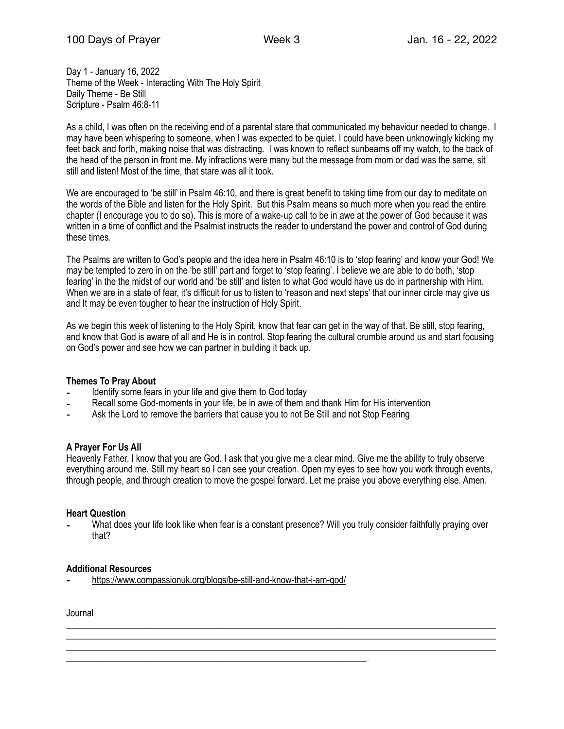Day 1 - January 16, 2022 Theme of the Week - Interacting With The Holy Spirit Daily Theme - Be Still Scripture - Psalm 46:8-11

As a child, I was often on the receiving end of a parental stare that communicated my behaviour needed to change. I may have been whispering to someone, when I was expected to be quiet. I could have been unknowingly kicking my feet back and forth, making noise that was distracting. I was known to reflect sunbeams off my watch, to the back of the head of the person in front me. My infractions were many but the message from mom or dad was the same, sit still and listen! Most of the time, that stare was all it took.

We are encouraged to 'be still' in Psalm 46:10, and there is great benefit to taking time from our day to meditate on the words of the Bible and listen for the Holy Spirit. But this Psalm means so much more when you read the entire chapter (I encourage you to do so). This is more of a wake-up call to be in awe at the power of God because it was written in a time of conflict and the Psalmist instructs the reader to understand the power and control of God during these times.

The Psalms are written to God's people and the idea here in Psalm 46:10 is to 'stop fearing' and know your God! We may be tempted to zero in on the 'be still' part and forget to 'stop fearing'. I believe we are able to do both, 'stop fearing' in the the midst of our world and 'be still' and listen to what God would have us do in partnership with Him. When we are in a state of fear, it's difficult for us to listen to 'reason and next steps' that our inner circle may give us and It may be even tougher to hear the instruction of Holy Spirit.

As we begin this week of listening to the Holy Spirit, know that fear can get in the way of that. Be still, stop fearing, and know that God is aware of all and He is in control. Stop fearing the cultural crumble around us and start focusing on God's power and see how we can partner in building it back up.

#### **Themes To Pray About**

- Identify some fears in your life and give them to God today
- Recall some God-moments in your life, be in awe of them and thank Him for His intervention
- Ask the Lord to remove the barriers that cause you to not Be Still and not Stop Fearing

#### **A Prayer For Us All**

Heavenly Father, I know that you are God. I ask that you give me a clear mind. Give me the ability to truly observe everything around me. Still my heart so I can see your creation. Open my eyes to see how you work through events, through people, and through creation to move the gospel forward. Let me praise you above everything else. Amen.

#### **Heart Question**

What does your life look like when fear is a constant presence? Will you truly consider faithfully praying over that?

\_\_\_\_\_\_\_\_\_\_\_\_\_\_\_\_\_\_\_\_\_\_\_\_\_\_\_\_\_\_\_\_\_\_\_\_\_\_\_\_\_\_\_\_\_\_\_\_\_\_\_\_\_\_\_\_\_\_\_\_\_\_\_\_\_\_\_\_\_\_\_\_\_\_\_\_\_\_\_\_\_\_\_\_\_\_\_\_\_\_\_\_\_ \_\_\_\_\_\_\_\_\_\_\_\_\_\_\_\_\_\_\_\_\_\_\_\_\_\_\_\_\_\_\_\_\_\_\_\_\_\_\_\_\_\_\_\_\_\_\_\_\_\_\_\_\_\_\_\_\_\_\_\_\_\_\_\_\_\_\_\_\_\_\_\_\_\_\_\_\_\_\_\_\_\_\_\_\_\_\_\_\_\_\_\_\_ \_\_\_\_\_\_\_\_\_\_\_\_\_\_\_\_\_\_\_\_\_\_\_\_\_\_\_\_\_\_\_\_\_\_\_\_\_\_\_\_\_\_\_\_\_\_\_\_\_\_\_\_\_\_\_\_\_\_\_\_\_\_\_\_\_\_\_\_\_\_\_\_\_\_\_\_\_\_\_\_\_\_\_\_\_\_\_\_\_\_\_\_\_

# **Additional Resources**

<https://www.compassionuk.org/blogs/be-still-and-know-that-i-am-god/>

\_\_\_\_\_\_\_\_\_\_\_\_\_\_\_\_\_\_\_\_\_\_\_\_\_\_\_\_\_\_\_\_\_\_\_\_\_\_\_\_\_\_\_\_\_\_\_\_\_\_\_\_\_\_\_\_\_\_\_\_\_\_\_\_\_\_\_\_\_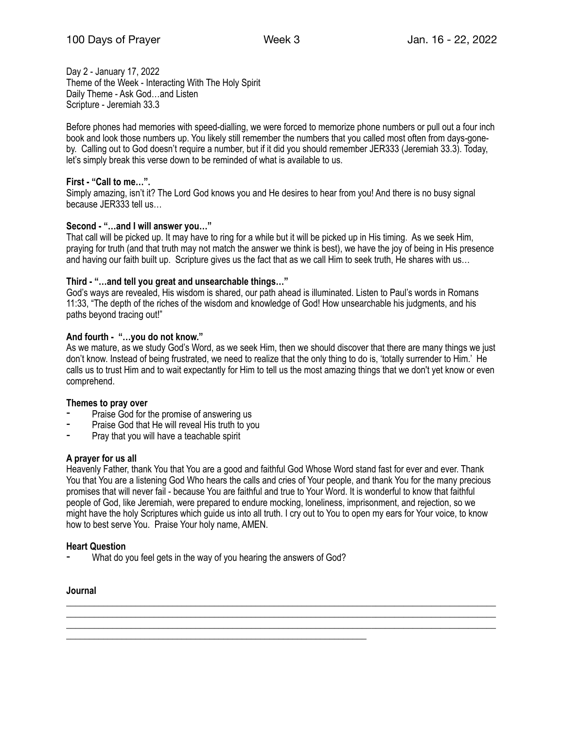Day 2 - January 17, 2022 Theme of the Week - Interacting With The Holy Spirit Daily Theme - Ask God…and Listen Scripture - Jeremiah 33.3

Before phones had memories with speed-dialling, we were forced to memorize phone numbers or pull out a four inch book and look those numbers up. You likely still remember the numbers that you called most often from days-goneby. Calling out to God doesn't require a number, but if it did you should remember JER333 (Jeremiah 33.3). Today, let's simply break this verse down to be reminded of what is available to us.

## **First - "Call to me…".**

Simply amazing, isn't it? The Lord God knows you and He desires to hear from you! And there is no busy signal because JER333 tell us…

## **Second - "…and I will answer you…"**

That call will be picked up. It may have to ring for a while but it will be picked up in His timing. As we seek Him, praying for truth (and that truth may not match the answer we think is best), we have the joy of being in His presence and having our faith built up. Scripture gives us the fact that as we call Him to seek truth, He shares with us…

## **Third - "…and tell you great and unsearchable things…"**

God's ways are revealed, His wisdom is shared, our path ahead is illuminated. Listen to Paul's words in Romans 11:33, "The depth of the riches of the wisdom and knowledge of God! How unsearchable his judgments, and his paths beyond tracing out!"

#### **And fourth - "…you do not know."**

As we mature, as we study God's Word, as we seek Him, then we should discover that there are many things we just don't know. Instead of being frustrated, we need to realize that the only thing to do is, 'totally surrender to Him.' He calls us to trust Him and to wait expectantly for Him to tell us the most amazing things that we don't yet know or even comprehend.

#### **Themes to pray over**

- Praise God for the promise of answering us
- Praise God that He will reveal His truth to you
- Pray that you will have a teachable spirit

#### **A prayer for us all**

Heavenly Father, thank You that You are a good and faithful God Whose Word stand fast for ever and ever. Thank You that You are a listening God Who hears the calls and cries of Your people, and thank You for the many precious promises that will never fail - because You are faithful and true to Your Word. It is wonderful to know that faithful people of God, like Jeremiah, were prepared to endure mocking, loneliness, imprisonment, and rejection, so we might have the holy Scriptures which guide us into all truth. I cry out to You to open my ears for Your voice, to know how to best serve You. Praise Your holy name, AMEN.

\_\_\_\_\_\_\_\_\_\_\_\_\_\_\_\_\_\_\_\_\_\_\_\_\_\_\_\_\_\_\_\_\_\_\_\_\_\_\_\_\_\_\_\_\_\_\_\_\_\_\_\_\_\_\_\_\_\_\_\_\_\_\_\_\_\_\_\_\_\_\_\_\_\_\_\_\_\_\_\_\_\_\_\_\_\_\_\_\_\_\_\_\_ \_\_\_\_\_\_\_\_\_\_\_\_\_\_\_\_\_\_\_\_\_\_\_\_\_\_\_\_\_\_\_\_\_\_\_\_\_\_\_\_\_\_\_\_\_\_\_\_\_\_\_\_\_\_\_\_\_\_\_\_\_\_\_\_\_\_\_\_\_\_\_\_\_\_\_\_\_\_\_\_\_\_\_\_\_\_\_\_\_\_\_\_\_ \_\_\_\_\_\_\_\_\_\_\_\_\_\_\_\_\_\_\_\_\_\_\_\_\_\_\_\_\_\_\_\_\_\_\_\_\_\_\_\_\_\_\_\_\_\_\_\_\_\_\_\_\_\_\_\_\_\_\_\_\_\_\_\_\_\_\_\_\_\_\_\_\_\_\_\_\_\_\_\_\_\_\_\_\_\_\_\_\_\_\_\_\_

#### **Heart Question**

What do you feel gets in the way of you hearing the answers of God?

\_\_\_\_\_\_\_\_\_\_\_\_\_\_\_\_\_\_\_\_\_\_\_\_\_\_\_\_\_\_\_\_\_\_\_\_\_\_\_\_\_\_\_\_\_\_\_\_\_\_\_\_\_\_\_\_\_\_\_\_\_\_\_\_\_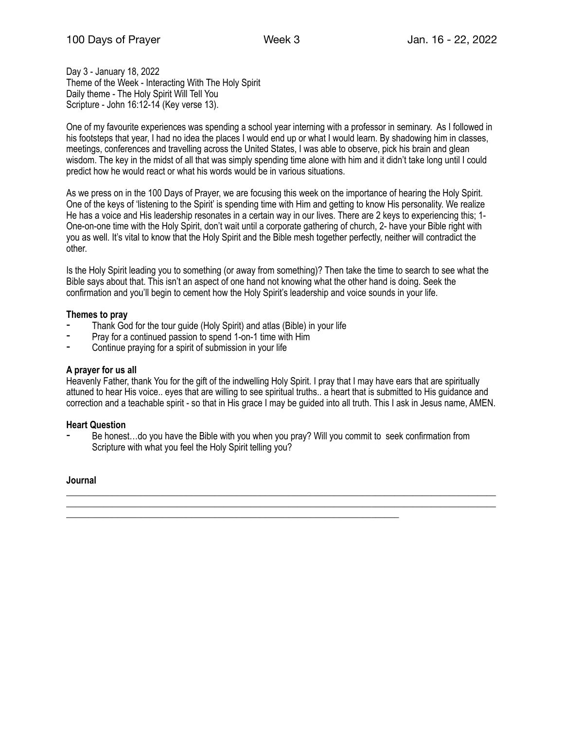Day 3 - January 18, 2022 Theme of the Week - Interacting With The Holy Spirit Daily theme - The Holy Spirit Will Tell You Scripture - John 16:12-14 (Key verse 13).

One of my favourite experiences was spending a school year interning with a professor in seminary. As I followed in his footsteps that year, I had no idea the places I would end up or what I would learn. By shadowing him in classes, meetings, conferences and travelling across the United States, I was able to observe, pick his brain and glean wisdom. The key in the midst of all that was simply spending time alone with him and it didn't take long until I could predict how he would react or what his words would be in various situations.

As we press on in the 100 Days of Prayer, we are focusing this week on the importance of hearing the Holy Spirit. One of the keys of 'listening to the Spirit' is spending time with Him and getting to know His personality. We realize He has a voice and His leadership resonates in a certain way in our lives. There are 2 keys to experiencing this; 1- One-on-one time with the Holy Spirit, don't wait until a corporate gathering of church, 2- have your Bible right with you as well. It's vital to know that the Holy Spirit and the Bible mesh together perfectly, neither will contradict the other.

Is the Holy Spirit leading you to something (or away from something)? Then take the time to search to see what the Bible says about that. This isn't an aspect of one hand not knowing what the other hand is doing. Seek the confirmation and you'll begin to cement how the Holy Spirit's leadership and voice sounds in your life.

## **Themes to pray**

- Thank God for the tour quide (Holy Spirit) and atlas (Bible) in your life
- Pray for a continued passion to spend 1-on-1 time with Him
- Continue praying for a spirit of submission in your life

### **A prayer for us all**

Heavenly Father, thank You for the gift of the indwelling Holy Spirit. I pray that I may have ears that are spiritually attuned to hear His voice.. eyes that are willing to see spiritual truths.. a heart that is submitted to His guidance and correction and a teachable spirit - so that in His grace I may be guided into all truth. This I ask in Jesus name, AMEN.

\_\_\_\_\_\_\_\_\_\_\_\_\_\_\_\_\_\_\_\_\_\_\_\_\_\_\_\_\_\_\_\_\_\_\_\_\_\_\_\_\_\_\_\_\_\_\_\_\_\_\_\_\_\_\_\_\_\_\_\_\_\_\_\_\_\_\_\_\_\_\_\_\_\_\_\_\_\_\_\_\_\_\_\_\_\_\_\_\_\_\_\_\_ \_\_\_\_\_\_\_\_\_\_\_\_\_\_\_\_\_\_\_\_\_\_\_\_\_\_\_\_\_\_\_\_\_\_\_\_\_\_\_\_\_\_\_\_\_\_\_\_\_\_\_\_\_\_\_\_\_\_\_\_\_\_\_\_\_\_\_\_\_\_\_\_\_\_\_\_\_\_\_\_\_\_\_\_\_\_\_\_\_\_\_\_\_

#### **Heart Question**

Be honest...do you have the Bible with you when you pray? Will you commit to seek confirmation from Scripture with what you feel the Holy Spirit telling you?

\_\_\_\_\_\_\_\_\_\_\_\_\_\_\_\_\_\_\_\_\_\_\_\_\_\_\_\_\_\_\_\_\_\_\_\_\_\_\_\_\_\_\_\_\_\_\_\_\_\_\_\_\_\_\_\_\_\_\_\_\_\_\_\_\_\_\_\_\_\_\_\_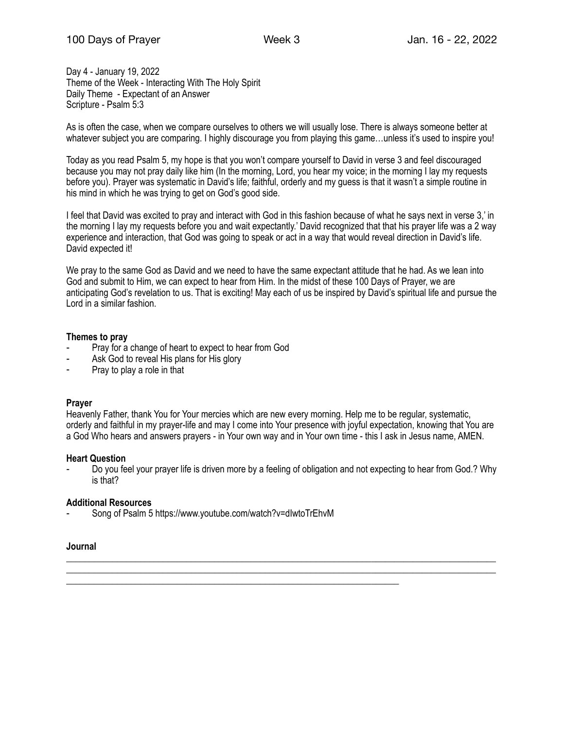Day 4 - January 19, 2022 Theme of the Week - Interacting With The Holy Spirit Daily Theme - Expectant of an Answer Scripture - Psalm 5:3

As is often the case, when we compare ourselves to others we will usually lose. There is always someone better at whatever subject you are comparing. I highly discourage you from playing this game...unless it's used to inspire you!

Today as you read Psalm 5, my hope is that you won't compare yourself to David in verse 3 and feel discouraged because you may not pray daily like him (In the morning, Lord, you hear my voice; in the morning I lay my requests before you). Prayer was systematic in David's life; faithful, orderly and my guess is that it wasn't a simple routine in his mind in which he was trying to get on God's good side.

I feel that David was excited to pray and interact with God in this fashion because of what he says next in verse 3,' in the morning I lay my requests before you and wait expectantly.' David recognized that that his prayer life was a 2 way experience and interaction, that God was going to speak or act in a way that would reveal direction in David's life. David expected it!

We pray to the same God as David and we need to have the same expectant attitude that he had. As we lean into God and submit to Him, we can expect to hear from Him. In the midst of these 100 Days of Prayer, we are anticipating God's revelation to us. That is exciting! May each of us be inspired by David's spiritual life and pursue the Lord in a similar fashion.

## **Themes to pray**

- Pray for a change of heart to expect to hear from God
- Ask God to reveal His plans for His glory
- Pray to play a role in that

# **Prayer**

Heavenly Father, thank You for Your mercies which are new every morning. Help me to be regular, systematic, orderly and faithful in my prayer-life and may I come into Your presence with joyful expectation, knowing that You are a God Who hears and answers prayers - in Your own way and in Your own time - this I ask in Jesus name, AMEN.

#### **Heart Question**

Do you feel your prayer life is driven more by a feeling of obligation and not expecting to hear from God.? Why is that?

\_\_\_\_\_\_\_\_\_\_\_\_\_\_\_\_\_\_\_\_\_\_\_\_\_\_\_\_\_\_\_\_\_\_\_\_\_\_\_\_\_\_\_\_\_\_\_\_\_\_\_\_\_\_\_\_\_\_\_\_\_\_\_\_\_\_\_\_\_\_\_\_\_\_\_\_\_\_\_\_\_\_\_\_\_\_\_\_\_\_\_\_\_ \_\_\_\_\_\_\_\_\_\_\_\_\_\_\_\_\_\_\_\_\_\_\_\_\_\_\_\_\_\_\_\_\_\_\_\_\_\_\_\_\_\_\_\_\_\_\_\_\_\_\_\_\_\_\_\_\_\_\_\_\_\_\_\_\_\_\_\_\_\_\_\_\_\_\_\_\_\_\_\_\_\_\_\_\_\_\_\_\_\_\_\_\_

# **Additional Resources**

Song of Psalm 5 https://www.youtube.com/watch?v=dIwtoTrEhvM

\_\_\_\_\_\_\_\_\_\_\_\_\_\_\_\_\_\_\_\_\_\_\_\_\_\_\_\_\_\_\_\_\_\_\_\_\_\_\_\_\_\_\_\_\_\_\_\_\_\_\_\_\_\_\_\_\_\_\_\_\_\_\_\_\_\_\_\_\_\_\_\_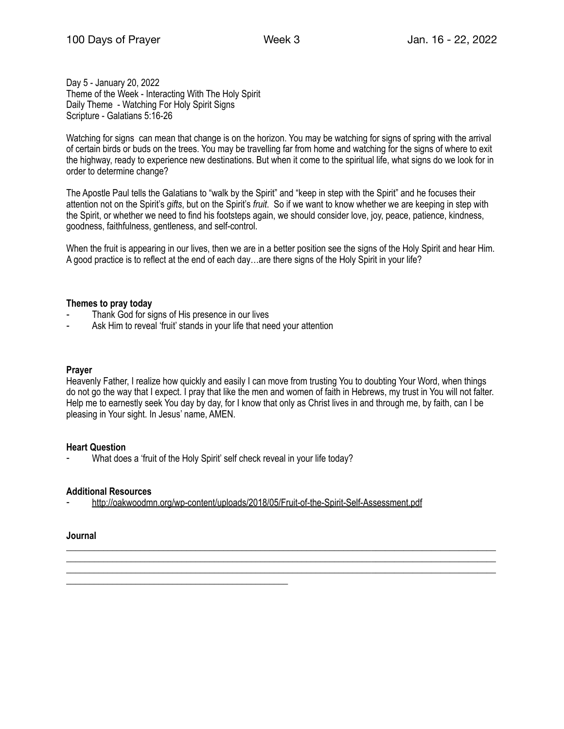Day 5 - January 20, 2022 Theme of the Week - Interacting With The Holy Spirit Daily Theme - Watching For Holy Spirit Signs Scripture - Galatians 5:16-26

Watching for signs can mean that change is on the horizon. You may be watching for signs of spring with the arrival of certain birds or buds on the trees. You may be travelling far from home and watching for the signs of where to exit the highway, ready to experience new destinations. But when it come to the spiritual life, what signs do we look for in order to determine change?

The Apostle Paul tells the Galatians to "walk by the Spirit" and "keep in step with the Spirit" and he focuses their attention not on the Spirit's *gifts*, but on the Spirit's *fruit*. So if we want to know whether we are keeping in step with the Spirit, or whether we need to find his footsteps again, we should consider love, joy, peace, patience, kindness, goodness, faithfulness, gentleness, and self-control.

When the fruit is appearing in our lives, then we are in a better position see the signs of the Holy Spirit and hear Him. A good practice is to reflect at the end of each day…are there signs of the Holy Spirit in your life?

## **Themes to pray today**

- Thank God for signs of His presence in our lives
- Ask Him to reveal 'fruit' stands in your life that need your attention

### **Prayer**

Heavenly Father, I realize how quickly and easily I can move from trusting You to doubting Your Word, when things do not go the way that I expect. I pray that like the men and women of faith in Hebrews, my trust in You will not falter. Help me to earnestly seek You day by day, for I know that only as Christ lives in and through me, by faith, can I be pleasing in Your sight. In Jesus' name, AMEN.

\_\_\_\_\_\_\_\_\_\_\_\_\_\_\_\_\_\_\_\_\_\_\_\_\_\_\_\_\_\_\_\_\_\_\_\_\_\_\_\_\_\_\_\_\_\_\_\_\_\_\_\_\_\_\_\_\_\_\_\_\_\_\_\_\_\_\_\_\_\_\_\_\_\_\_\_\_\_\_\_\_\_\_\_\_\_\_\_\_\_\_\_\_ \_\_\_\_\_\_\_\_\_\_\_\_\_\_\_\_\_\_\_\_\_\_\_\_\_\_\_\_\_\_\_\_\_\_\_\_\_\_\_\_\_\_\_\_\_\_\_\_\_\_\_\_\_\_\_\_\_\_\_\_\_\_\_\_\_\_\_\_\_\_\_\_\_\_\_\_\_\_\_\_\_\_\_\_\_\_\_\_\_\_\_\_\_ \_\_\_\_\_\_\_\_\_\_\_\_\_\_\_\_\_\_\_\_\_\_\_\_\_\_\_\_\_\_\_\_\_\_\_\_\_\_\_\_\_\_\_\_\_\_\_\_\_\_\_\_\_\_\_\_\_\_\_\_\_\_\_\_\_\_\_\_\_\_\_\_\_\_\_\_\_\_\_\_\_\_\_\_\_\_\_\_\_\_\_\_\_

# **Heart Question**

What does a 'fruit of the Holy Spirit' self check reveal in your life today?

\_\_\_\_\_\_\_\_\_\_\_\_\_\_\_\_\_\_\_\_\_\_\_\_\_\_\_\_\_\_\_\_\_\_\_\_\_\_\_\_\_\_\_\_\_\_\_\_

#### **Additional Resources**

⁃ <http://oakwoodmn.org/wp-content/uploads/2018/05/Fruit-of-the-Spirit-Self-Assessment.pdf>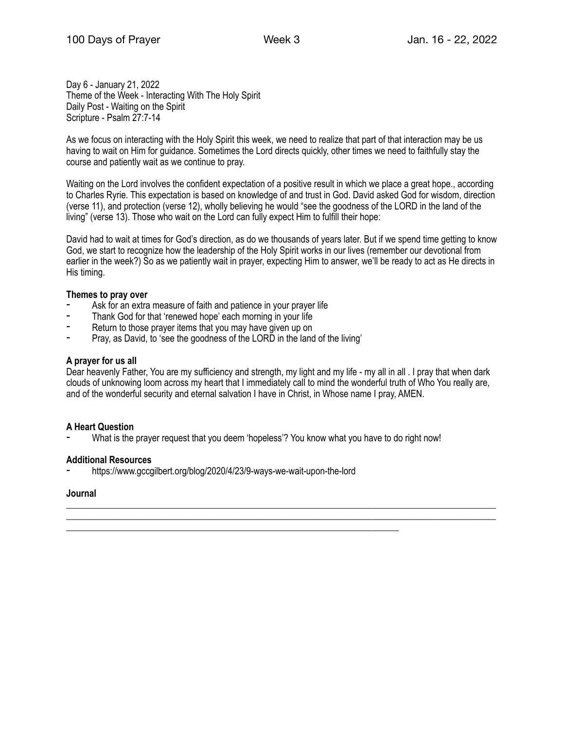Day 6 - January 21, 2022 Theme of the Week - Interacting With The Holy Spirit Daily Post - Waiting on the Spirit Scripture - Psalm 27:7-14

As we focus on interacting with the Holy Spirit this week, we need to realize that part of that interaction may be us having to wait on Him for guidance. Sometimes the Lord directs quickly, other times we need to faithfully stay the course and patiently wait as we continue to pray.

Waiting on the Lord involves the confident expectation of a positive result in which we place a great hope., according to Charles Ryrie. This expectation is based on knowledge of and trust in God. David asked God for wisdom, direction (verse 11), and protection (verse 12), wholly believing he would "see the goodness of the LORD in the land of the living" (verse 13). Those who wait on the Lord can fully expect Him to fulfill their hope:

David had to wait at times for God's direction, as do we thousands of years later. But if we spend time getting to know God, we start to recognize how the leadership of the Holy Spirit works in our lives (remember our devotional from earlier in the week?) So as we patiently wait in prayer, expecting Him to answer, we'll be ready to act as He directs in His timing.

# **Themes to pray over**

- Ask for an extra measure of faith and patience in your prayer life
- Thank God for that 'renewed hope' each morning in your life
- Return to those prayer items that you may have given up on
- ⁃ Pray, as David, to 'see the goodness of the LORD in the land of the living'

## **A prayer for us all**

Dear heavenly Father, You are my sufficiency and strength, my light and my life - my all in all . I pray that when dark clouds of unknowing loom across my heart that I immediately call to mind the wonderful truth of Who You really are, and of the wonderful security and eternal salvation I have in Christ, in Whose name I pray, AMEN.

\_\_\_\_\_\_\_\_\_\_\_\_\_\_\_\_\_\_\_\_\_\_\_\_\_\_\_\_\_\_\_\_\_\_\_\_\_\_\_\_\_\_\_\_\_\_\_\_\_\_\_\_\_\_\_\_\_\_\_\_\_\_\_\_\_\_\_\_\_\_\_\_\_\_\_\_\_\_\_\_\_\_\_\_\_\_\_\_\_\_\_\_\_ \_\_\_\_\_\_\_\_\_\_\_\_\_\_\_\_\_\_\_\_\_\_\_\_\_\_\_\_\_\_\_\_\_\_\_\_\_\_\_\_\_\_\_\_\_\_\_\_\_\_\_\_\_\_\_\_\_\_\_\_\_\_\_\_\_\_\_\_\_\_\_\_\_\_\_\_\_\_\_\_\_\_\_\_\_\_\_\_\_\_\_\_\_

#### **A Heart Question**

What is the prayer request that you deem 'hopeless'? You know what you have to do right now!

#### **Additional Resources**

https://www.gccgilbert.org/blog/2020/4/23/9-ways-we-wait-upon-the-lord

\_\_\_\_\_\_\_\_\_\_\_\_\_\_\_\_\_\_\_\_\_\_\_\_\_\_\_\_\_\_\_\_\_\_\_\_\_\_\_\_\_\_\_\_\_\_\_\_\_\_\_\_\_\_\_\_\_\_\_\_\_\_\_\_\_\_\_\_\_\_\_\_